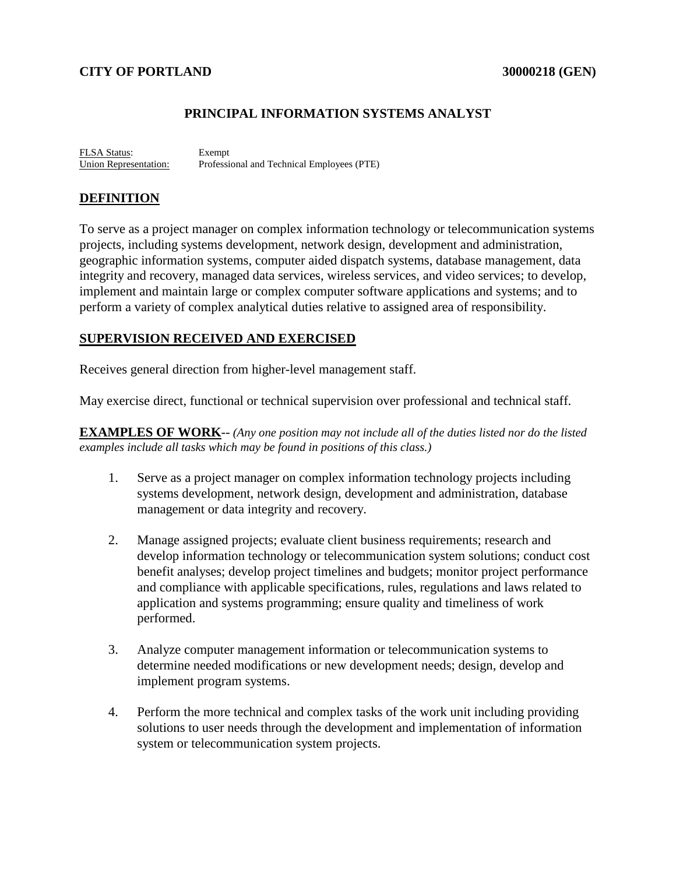#### **CITY OF PORTLAND 30000218 (GEN)**

#### **PRINCIPAL INFORMATION SYSTEMS ANALYST**

FLSA Status: Exempt Union Representation: Professional and Technical Employees (PTE)

#### **DEFINITION**

To serve as a project manager on complex information technology or telecommunication systems projects, including systems development, network design, development and administration, geographic information systems, computer aided dispatch systems, database management, data integrity and recovery, managed data services, wireless services, and video services; to develop, implement and maintain large or complex computer software applications and systems; and to perform a variety of complex analytical duties relative to assigned area of responsibility.

#### **SUPERVISION RECEIVED AND EXERCISED**

Receives general direction from higher-level management staff.

May exercise direct, functional or technical supervision over professional and technical staff.

**EXAMPLES OF WORK**-- *(Any one position may not include all of the duties listed nor do the listed examples include all tasks which may be found in positions of this class.)*

- 1. Serve as a project manager on complex information technology projects including systems development, network design, development and administration, database management or data integrity and recovery.
- 2. Manage assigned projects; evaluate client business requirements; research and develop information technology or telecommunication system solutions; conduct cost benefit analyses; develop project timelines and budgets; monitor project performance and compliance with applicable specifications, rules, regulations and laws related to application and systems programming; ensure quality and timeliness of work performed.
- 3. Analyze computer management information or telecommunication systems to determine needed modifications or new development needs; design, develop and implement program systems.
- 4. Perform the more technical and complex tasks of the work unit including providing solutions to user needs through the development and implementation of information system or telecommunication system projects.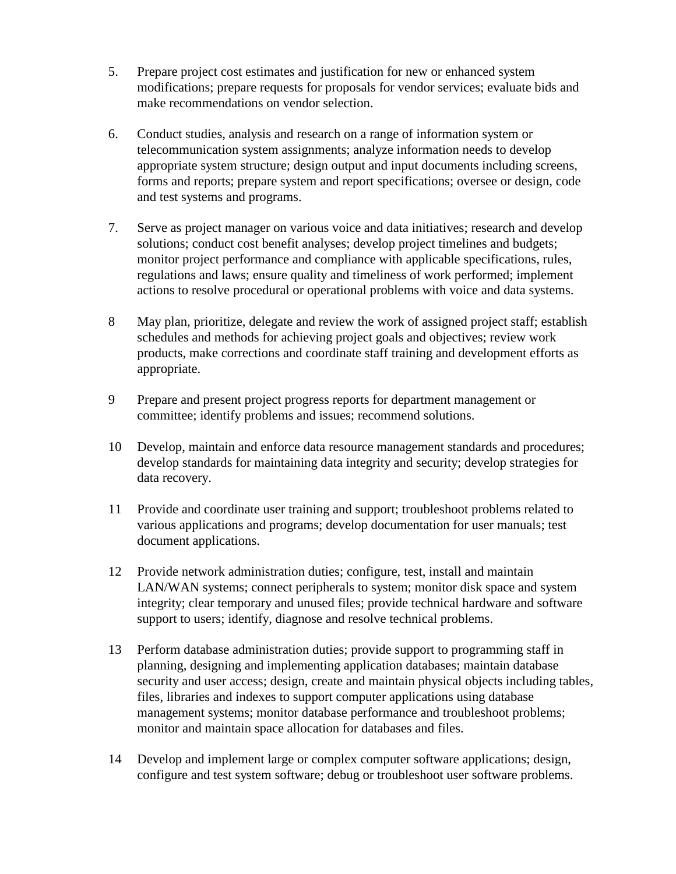- 5. Prepare project cost estimates and justification for new or enhanced system modifications; prepare requests for proposals for vendor services; evaluate bids and make recommendations on vendor selection.
- 6. Conduct studies, analysis and research on a range of information system or telecommunication system assignments; analyze information needs to develop appropriate system structure; design output and input documents including screens, forms and reports; prepare system and report specifications; oversee or design, code and test systems and programs.
- 7. Serve as project manager on various voice and data initiatives; research and develop solutions; conduct cost benefit analyses; develop project timelines and budgets; monitor project performance and compliance with applicable specifications, rules, regulations and laws; ensure quality and timeliness of work performed; implement actions to resolve procedural or operational problems with voice and data systems.
- 8 May plan, prioritize, delegate and review the work of assigned project staff; establish schedules and methods for achieving project goals and objectives; review work products, make corrections and coordinate staff training and development efforts as appropriate.
- 9 Prepare and present project progress reports for department management or committee; identify problems and issues; recommend solutions.
- 10 Develop, maintain and enforce data resource management standards and procedures; develop standards for maintaining data integrity and security; develop strategies for data recovery.
- 11 Provide and coordinate user training and support; troubleshoot problems related to various applications and programs; develop documentation for user manuals; test document applications.
- 12 Provide network administration duties; configure, test, install and maintain LAN/WAN systems; connect peripherals to system; monitor disk space and system integrity; clear temporary and unused files; provide technical hardware and software support to users; identify, diagnose and resolve technical problems.
- 13 Perform database administration duties; provide support to programming staff in planning, designing and implementing application databases; maintain database security and user access; design, create and maintain physical objects including tables, files, libraries and indexes to support computer applications using database management systems; monitor database performance and troubleshoot problems; monitor and maintain space allocation for databases and files.
- 14 Develop and implement large or complex computer software applications; design, configure and test system software; debug or troubleshoot user software problems.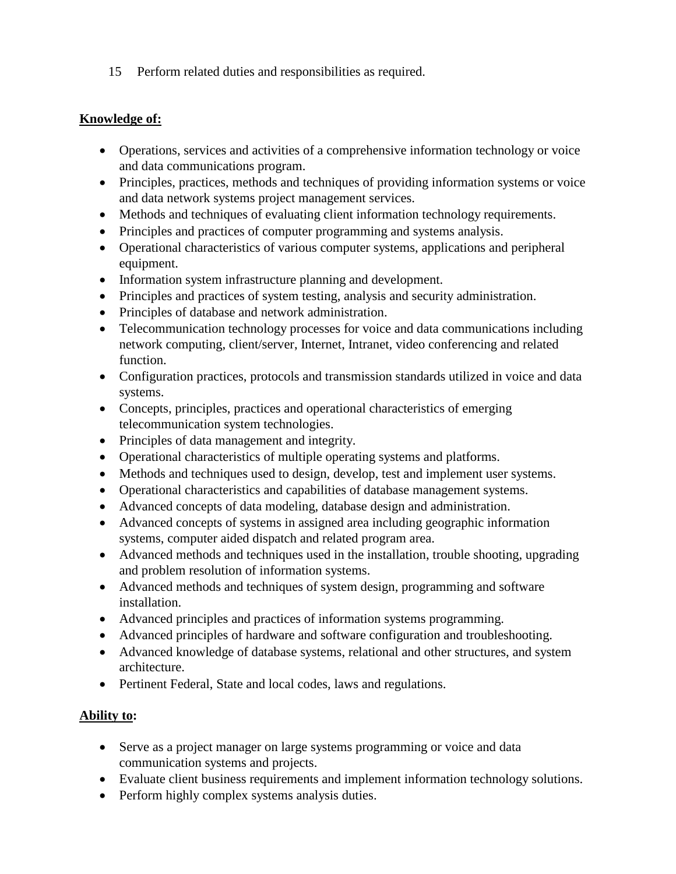15 Perform related duties and responsibilities as required.

## **Knowledge of:**

- Operations, services and activities of a comprehensive information technology or voice and data communications program.
- Principles, practices, methods and techniques of providing information systems or voice and data network systems project management services.
- Methods and techniques of evaluating client information technology requirements.
- Principles and practices of computer programming and systems analysis.
- Operational characteristics of various computer systems, applications and peripheral equipment.
- Information system infrastructure planning and development.
- Principles and practices of system testing, analysis and security administration.
- Principles of database and network administration.
- Telecommunication technology processes for voice and data communications including network computing, client/server, Internet, Intranet, video conferencing and related function.
- Configuration practices, protocols and transmission standards utilized in voice and data systems.
- Concepts, principles, practices and operational characteristics of emerging telecommunication system technologies.
- Principles of data management and integrity.
- Operational characteristics of multiple operating systems and platforms.
- Methods and techniques used to design, develop, test and implement user systems.
- Operational characteristics and capabilities of database management systems.
- Advanced concepts of data modeling, database design and administration.
- Advanced concepts of systems in assigned area including geographic information systems, computer aided dispatch and related program area.
- Advanced methods and techniques used in the installation, trouble shooting, upgrading and problem resolution of information systems.
- Advanced methods and techniques of system design, programming and software installation.
- Advanced principles and practices of information systems programming.
- Advanced principles of hardware and software configuration and troubleshooting.
- Advanced knowledge of database systems, relational and other structures, and system architecture.
- Pertinent Federal, State and local codes, laws and regulations.

# **Ability to:**

- Serve as a project manager on large systems programming or voice and data communication systems and projects.
- Evaluate client business requirements and implement information technology solutions.
- Perform highly complex systems analysis duties.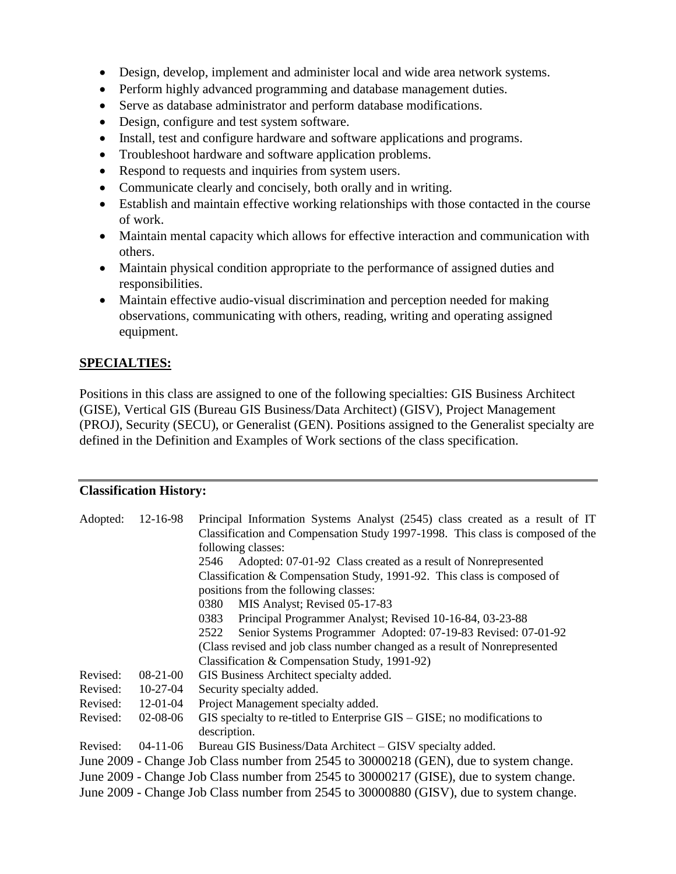- Design, develop, implement and administer local and wide area network systems.
- Perform highly advanced programming and database management duties.
- Serve as database administrator and perform database modifications.
- Design, configure and test system software.
- Install, test and configure hardware and software applications and programs.
- Troubleshoot hardware and software application problems.
- Respond to requests and inquiries from system users.
- Communicate clearly and concisely, both orally and in writing.
- Establish and maintain effective working relationships with those contacted in the course of work.
- Maintain mental capacity which allows for effective interaction and communication with others.
- Maintain physical condition appropriate to the performance of assigned duties and responsibilities.
- Maintain effective audio-visual discrimination and perception needed for making observations, communicating with others, reading, writing and operating assigned equipment.

## **SPECIALTIES:**

Positions in this class are assigned to one of the following specialties: GIS Business Architect (GISE), Vertical GIS (Bureau GIS Business/Data Architect) (GISV), Project Management (PROJ), Security (SECU), or Generalist (GEN). Positions assigned to the Generalist specialty are defined in the Definition and Examples of Work sections of the class specification.

#### **Classification History:**

| Adopted:                                                                                | 12-16-98       | Principal Information Systems Analyst (2545) class created as a result of IT<br>Classification and Compensation Study 1997-1998. This class is composed of the<br>following classes:<br>Adopted: 07-01-92 Class created as a result of Nonrepresented<br>2546<br>Classification & Compensation Study, 1991-92. This class is composed of<br>positions from the following classes:<br>MIS Analyst; Revised 05-17-83<br>0380<br>Principal Programmer Analyst; Revised 10-16-84, 03-23-88<br>0383<br>Senior Systems Programmer Adopted: 07-19-83 Revised: 07-01-92<br>2522<br>(Class revised and job class number changed as a result of Nonrepresented<br>Classification & Compensation Study, 1991-92) |
|-----------------------------------------------------------------------------------------|----------------|-------------------------------------------------------------------------------------------------------------------------------------------------------------------------------------------------------------------------------------------------------------------------------------------------------------------------------------------------------------------------------------------------------------------------------------------------------------------------------------------------------------------------------------------------------------------------------------------------------------------------------------------------------------------------------------------------------|
| Revised:                                                                                | $08-21-00$     | GIS Business Architect specialty added.                                                                                                                                                                                                                                                                                                                                                                                                                                                                                                                                                                                                                                                               |
| Revised:                                                                                | 10-27-04       | Security specialty added.                                                                                                                                                                                                                                                                                                                                                                                                                                                                                                                                                                                                                                                                             |
| Revised:                                                                                | 12-01-04       | Project Management specialty added.                                                                                                                                                                                                                                                                                                                                                                                                                                                                                                                                                                                                                                                                   |
| Revised:                                                                                | 02-08-06       | $\text{GIS}$ specialty to re-titled to Enterprise $\text{GIS} - \text{GISE}$ ; no modifications to<br>description.                                                                                                                                                                                                                                                                                                                                                                                                                                                                                                                                                                                    |
| Revised:                                                                                | $04 - 11 - 06$ | Bureau GIS Business/Data Architect – GISV specialty added.                                                                                                                                                                                                                                                                                                                                                                                                                                                                                                                                                                                                                                            |
| June 2009 - Change Job Class number from 2545 to 30000218 (GEN), due to system change.  |                |                                                                                                                                                                                                                                                                                                                                                                                                                                                                                                                                                                                                                                                                                                       |
| June 2009 - Change Job Class number from 2545 to 30000217 (GISE), due to system change. |                |                                                                                                                                                                                                                                                                                                                                                                                                                                                                                                                                                                                                                                                                                                       |
| June 2009 - Change Job Class number from 2545 to 30000880 (GISV), due to system change. |                |                                                                                                                                                                                                                                                                                                                                                                                                                                                                                                                                                                                                                                                                                                       |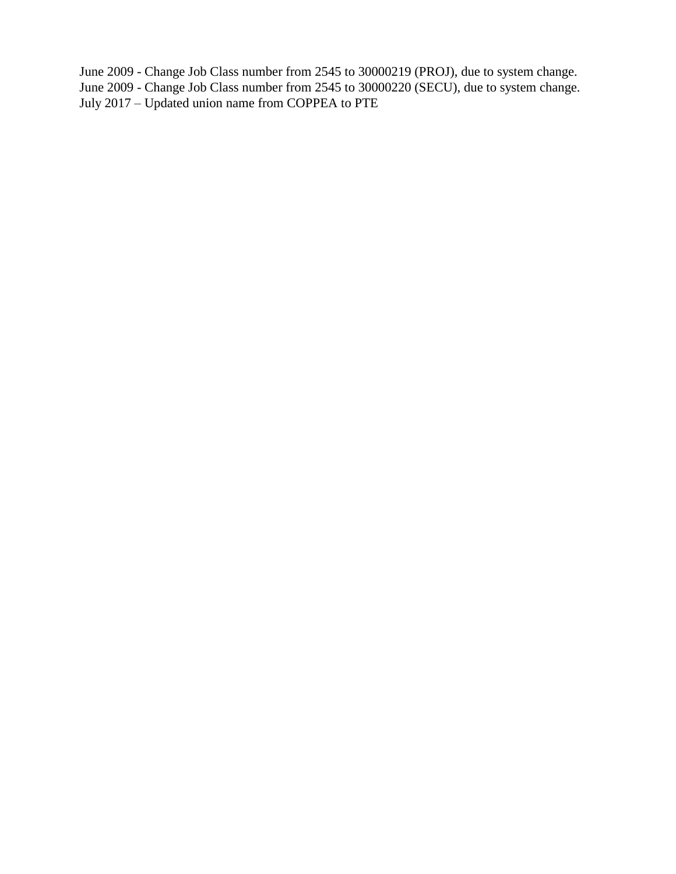June 2009 - Change Job Class number from 2545 to 30000219 (PROJ), due to system change. June 2009 - Change Job Class number from 2545 to 30000220 (SECU), due to system change. July 2017 – Updated union name from COPPEA to PTE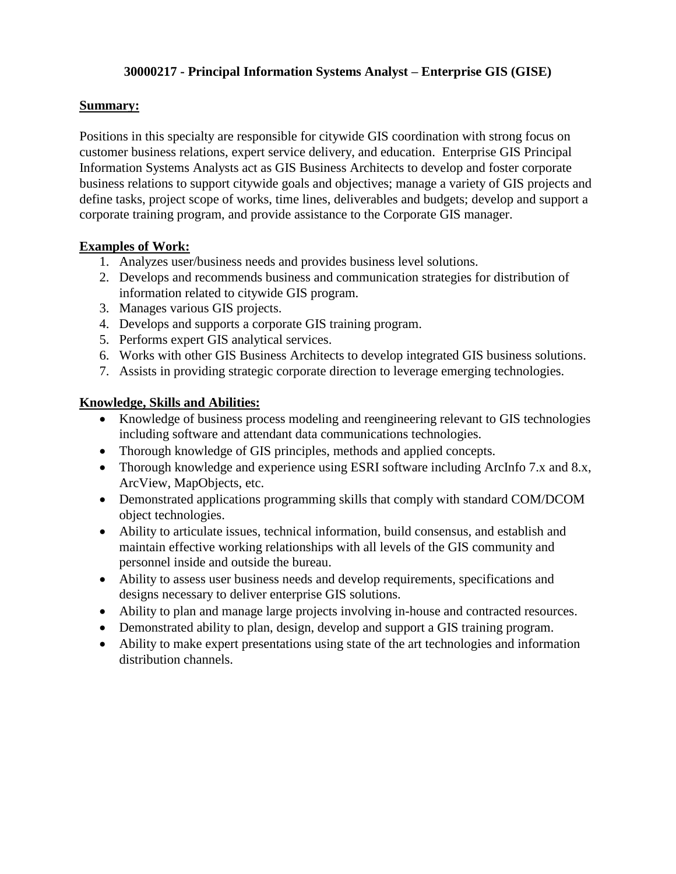#### **30000217 - Principal Information Systems Analyst – Enterprise GIS (GISE)**

## **Summary:**

Positions in this specialty are responsible for citywide GIS coordination with strong focus on customer business relations, expert service delivery, and education. Enterprise GIS Principal Information Systems Analysts act as GIS Business Architects to develop and foster corporate business relations to support citywide goals and objectives; manage a variety of GIS projects and define tasks, project scope of works, time lines, deliverables and budgets; develop and support a corporate training program, and provide assistance to the Corporate GIS manager.

#### **Examples of Work:**

- 1. Analyzes user/business needs and provides business level solutions.
- 2. Develops and recommends business and communication strategies for distribution of information related to citywide GIS program.
- 3. Manages various GIS projects.
- 4. Develops and supports a corporate GIS training program.
- 5. Performs expert GIS analytical services.
- 6. Works with other GIS Business Architects to develop integrated GIS business solutions.
- 7. Assists in providing strategic corporate direction to leverage emerging technologies.

- Knowledge of business process modeling and reengineering relevant to GIS technologies including software and attendant data communications technologies.
- Thorough knowledge of GIS principles, methods and applied concepts.
- Thorough knowledge and experience using ESRI software including ArcInfo 7.x and 8.x, ArcView, MapObjects, etc.
- Demonstrated applications programming skills that comply with standard COM/DCOM object technologies.
- Ability to articulate issues, technical information, build consensus, and establish and maintain effective working relationships with all levels of the GIS community and personnel inside and outside the bureau.
- Ability to assess user business needs and develop requirements, specifications and designs necessary to deliver enterprise GIS solutions.
- Ability to plan and manage large projects involving in-house and contracted resources.
- Demonstrated ability to plan, design, develop and support a GIS training program.
- Ability to make expert presentations using state of the art technologies and information distribution channels.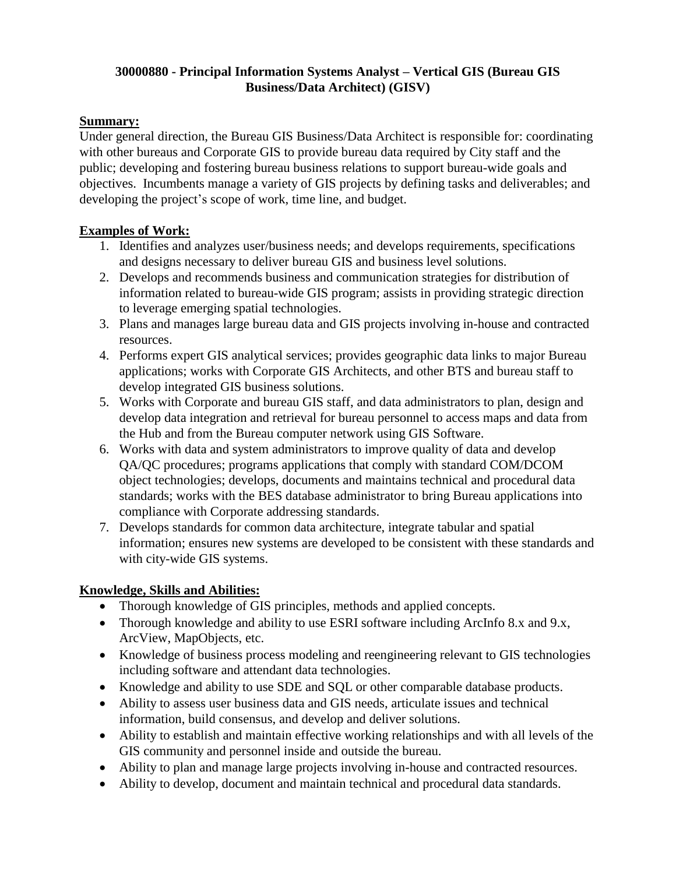## **30000880 - Principal Information Systems Analyst – Vertical GIS (Bureau GIS Business/Data Architect) (GISV)**

#### **Summary:**

Under general direction, the Bureau GIS Business/Data Architect is responsible for: coordinating with other bureaus and Corporate GIS to provide bureau data required by City staff and the public; developing and fostering bureau business relations to support bureau-wide goals and objectives. Incumbents manage a variety of GIS projects by defining tasks and deliverables; and developing the project's scope of work, time line, and budget.

# **Examples of Work:**

- 1. Identifies and analyzes user/business needs; and develops requirements, specifications and designs necessary to deliver bureau GIS and business level solutions.
- 2. Develops and recommends business and communication strategies for distribution of information related to bureau-wide GIS program; assists in providing strategic direction to leverage emerging spatial technologies.
- 3. Plans and manages large bureau data and GIS projects involving in-house and contracted resources.
- 4. Performs expert GIS analytical services; provides geographic data links to major Bureau applications; works with Corporate GIS Architects, and other BTS and bureau staff to develop integrated GIS business solutions.
- 5. Works with Corporate and bureau GIS staff, and data administrators to plan, design and develop data integration and retrieval for bureau personnel to access maps and data from the Hub and from the Bureau computer network using GIS Software.
- 6. Works with data and system administrators to improve quality of data and develop QA/QC procedures; programs applications that comply with standard COM/DCOM object technologies; develops, documents and maintains technical and procedural data standards; works with the BES database administrator to bring Bureau applications into compliance with Corporate addressing standards.
- 7. Develops standards for common data architecture, integrate tabular and spatial information; ensures new systems are developed to be consistent with these standards and with city-wide GIS systems.

- Thorough knowledge of GIS principles, methods and applied concepts.
- Thorough knowledge and ability to use ESRI software including ArcInfo 8.x and 9.x, ArcView, MapObjects, etc.
- Knowledge of business process modeling and reengineering relevant to GIS technologies including software and attendant data technologies.
- Knowledge and ability to use SDE and SQL or other comparable database products.
- Ability to assess user business data and GIS needs, articulate issues and technical information, build consensus, and develop and deliver solutions.
- Ability to establish and maintain effective working relationships and with all levels of the GIS community and personnel inside and outside the bureau.
- Ability to plan and manage large projects involving in-house and contracted resources.
- Ability to develop, document and maintain technical and procedural data standards.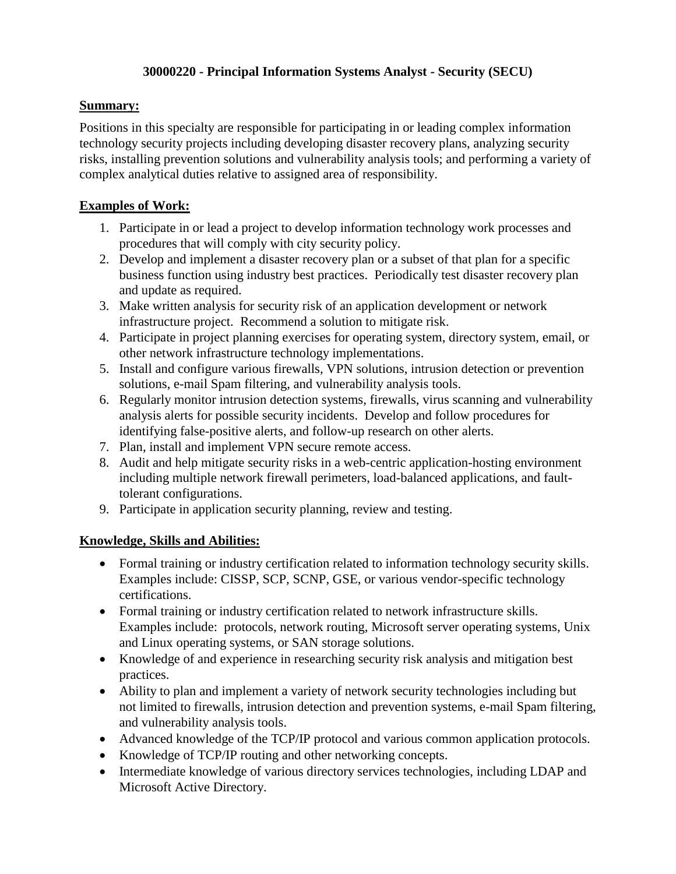## **30000220 - Principal Information Systems Analyst - Security (SECU)**

## **Summary:**

Positions in this specialty are responsible for participating in or leading complex information technology security projects including developing disaster recovery plans, analyzing security risks, installing prevention solutions and vulnerability analysis tools; and performing a variety of complex analytical duties relative to assigned area of responsibility.

# **Examples of Work:**

- 1. Participate in or lead a project to develop information technology work processes and procedures that will comply with city security policy.
- 2. Develop and implement a disaster recovery plan or a subset of that plan for a specific business function using industry best practices. Periodically test disaster recovery plan and update as required.
- 3. Make written analysis for security risk of an application development or network infrastructure project. Recommend a solution to mitigate risk.
- 4. Participate in project planning exercises for operating system, directory system, email, or other network infrastructure technology implementations.
- 5. Install and configure various firewalls, VPN solutions, intrusion detection or prevention solutions, e-mail Spam filtering, and vulnerability analysis tools.
- 6. Regularly monitor intrusion detection systems, firewalls, virus scanning and vulnerability analysis alerts for possible security incidents. Develop and follow procedures for identifying false-positive alerts, and follow-up research on other alerts.
- 7. Plan, install and implement VPN secure remote access.
- 8. Audit and help mitigate security risks in a web-centric application-hosting environment including multiple network firewall perimeters, load-balanced applications, and faulttolerant configurations.
- 9. Participate in application security planning, review and testing.

- Formal training or industry certification related to information technology security skills. Examples include: CISSP, SCP, SCNP, GSE, or various vendor-specific technology certifications.
- Formal training or industry certification related to network infrastructure skills. Examples include: protocols, network routing, Microsoft server operating systems, Unix and Linux operating systems, or SAN storage solutions.
- Knowledge of and experience in researching security risk analysis and mitigation best practices.
- Ability to plan and implement a variety of network security technologies including but not limited to firewalls, intrusion detection and prevention systems, e-mail Spam filtering, and vulnerability analysis tools.
- Advanced knowledge of the TCP/IP protocol and various common application protocols.
- Knowledge of TCP/IP routing and other networking concepts.
- Intermediate knowledge of various directory services technologies, including LDAP and Microsoft Active Directory.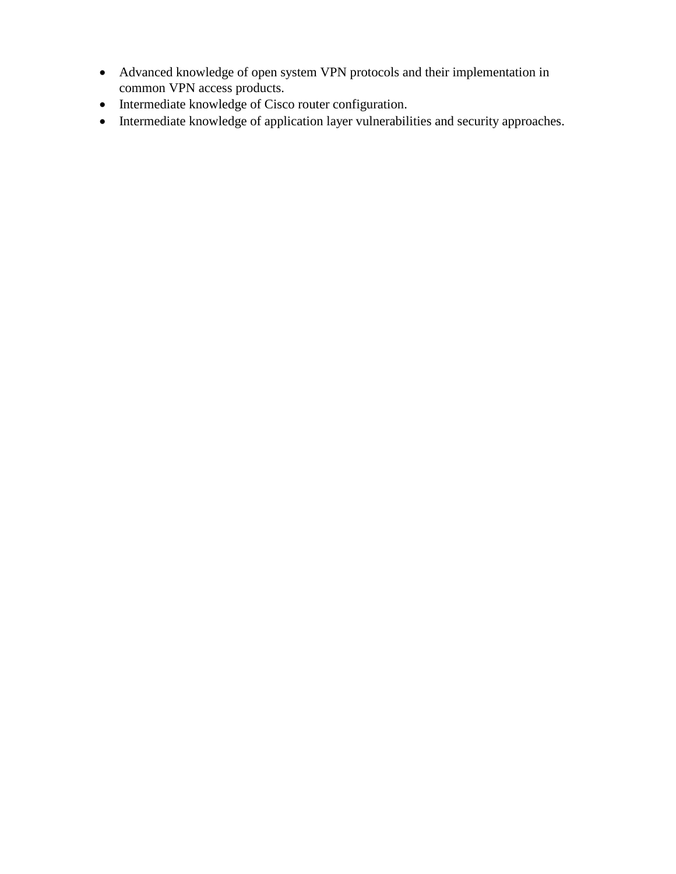- Advanced knowledge of open system VPN protocols and their implementation in common VPN access products.
- Intermediate knowledge of Cisco router configuration.
- Intermediate knowledge of application layer vulnerabilities and security approaches.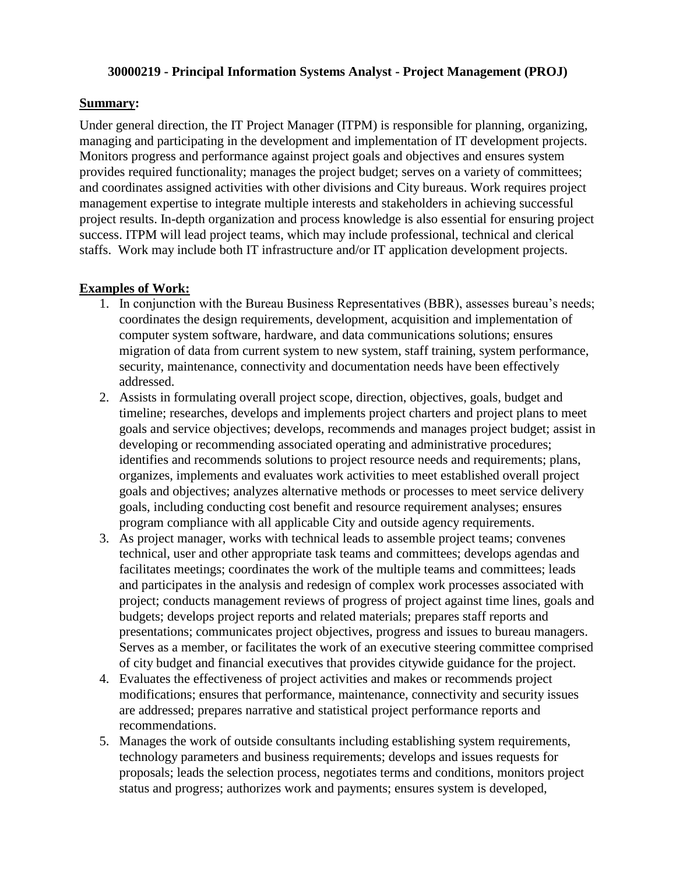#### **30000219 - Principal Information Systems Analyst - Project Management (PROJ)**

#### **Summary:**

Under general direction, the IT Project Manager (ITPM) is responsible for planning, organizing, managing and participating in the development and implementation of IT development projects. Monitors progress and performance against project goals and objectives and ensures system provides required functionality; manages the project budget; serves on a variety of committees; and coordinates assigned activities with other divisions and City bureaus. Work requires project management expertise to integrate multiple interests and stakeholders in achieving successful project results. In-depth organization and process knowledge is also essential for ensuring project success. ITPM will lead project teams, which may include professional, technical and clerical staffs. Work may include both IT infrastructure and/or IT application development projects.

#### **Examples of Work:**

- 1. In conjunction with the Bureau Business Representatives (BBR), assesses bureau's needs; coordinates the design requirements, development, acquisition and implementation of computer system software, hardware, and data communications solutions; ensures migration of data from current system to new system, staff training, system performance, security, maintenance, connectivity and documentation needs have been effectively addressed.
- 2. Assists in formulating overall project scope, direction, objectives, goals, budget and timeline; researches, develops and implements project charters and project plans to meet goals and service objectives; develops, recommends and manages project budget; assist in developing or recommending associated operating and administrative procedures; identifies and recommends solutions to project resource needs and requirements; plans, organizes, implements and evaluates work activities to meet established overall project goals and objectives; analyzes alternative methods or processes to meet service delivery goals, including conducting cost benefit and resource requirement analyses; ensures program compliance with all applicable City and outside agency requirements.
- 3. As project manager, works with technical leads to assemble project teams; convenes technical, user and other appropriate task teams and committees; develops agendas and facilitates meetings; coordinates the work of the multiple teams and committees; leads and participates in the analysis and redesign of complex work processes associated with project; conducts management reviews of progress of project against time lines, goals and budgets; develops project reports and related materials; prepares staff reports and presentations; communicates project objectives, progress and issues to bureau managers. Serves as a member, or facilitates the work of an executive steering committee comprised of city budget and financial executives that provides citywide guidance for the project.
- 4. Evaluates the effectiveness of project activities and makes or recommends project modifications; ensures that performance, maintenance, connectivity and security issues are addressed; prepares narrative and statistical project performance reports and recommendations.
- 5. Manages the work of outside consultants including establishing system requirements, technology parameters and business requirements; develops and issues requests for proposals; leads the selection process, negotiates terms and conditions, monitors project status and progress; authorizes work and payments; ensures system is developed,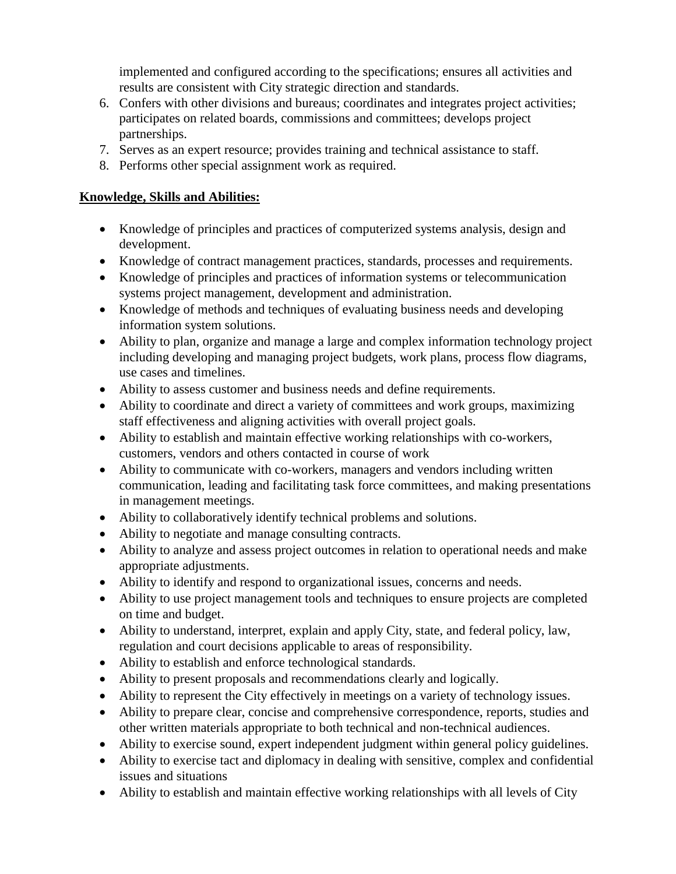implemented and configured according to the specifications; ensures all activities and results are consistent with City strategic direction and standards.

- 6. Confers with other divisions and bureaus; coordinates and integrates project activities; participates on related boards, commissions and committees; develops project partnerships.
- 7. Serves as an expert resource; provides training and technical assistance to staff.
- 8. Performs other special assignment work as required.

- Knowledge of principles and practices of computerized systems analysis, design and development.
- Knowledge of contract management practices, standards, processes and requirements.
- Knowledge of principles and practices of information systems or telecommunication systems project management, development and administration.
- Knowledge of methods and techniques of evaluating business needs and developing information system solutions.
- Ability to plan, organize and manage a large and complex information technology project including developing and managing project budgets, work plans, process flow diagrams, use cases and timelines.
- Ability to assess customer and business needs and define requirements.
- Ability to coordinate and direct a variety of committees and work groups, maximizing staff effectiveness and aligning activities with overall project goals.
- Ability to establish and maintain effective working relationships with co-workers, customers, vendors and others contacted in course of work
- Ability to communicate with co-workers, managers and vendors including written communication, leading and facilitating task force committees, and making presentations in management meetings.
- Ability to collaboratively identify technical problems and solutions.
- Ability to negotiate and manage consulting contracts.
- Ability to analyze and assess project outcomes in relation to operational needs and make appropriate adjustments.
- Ability to identify and respond to organizational issues, concerns and needs.
- Ability to use project management tools and techniques to ensure projects are completed on time and budget.
- Ability to understand, interpret, explain and apply City, state, and federal policy, law, regulation and court decisions applicable to areas of responsibility.
- Ability to establish and enforce technological standards.
- Ability to present proposals and recommendations clearly and logically.
- Ability to represent the City effectively in meetings on a variety of technology issues.
- Ability to prepare clear, concise and comprehensive correspondence, reports, studies and other written materials appropriate to both technical and non-technical audiences.
- Ability to exercise sound, expert independent judgment within general policy guidelines.
- Ability to exercise tact and diplomacy in dealing with sensitive, complex and confidential issues and situations
- Ability to establish and maintain effective working relationships with all levels of City